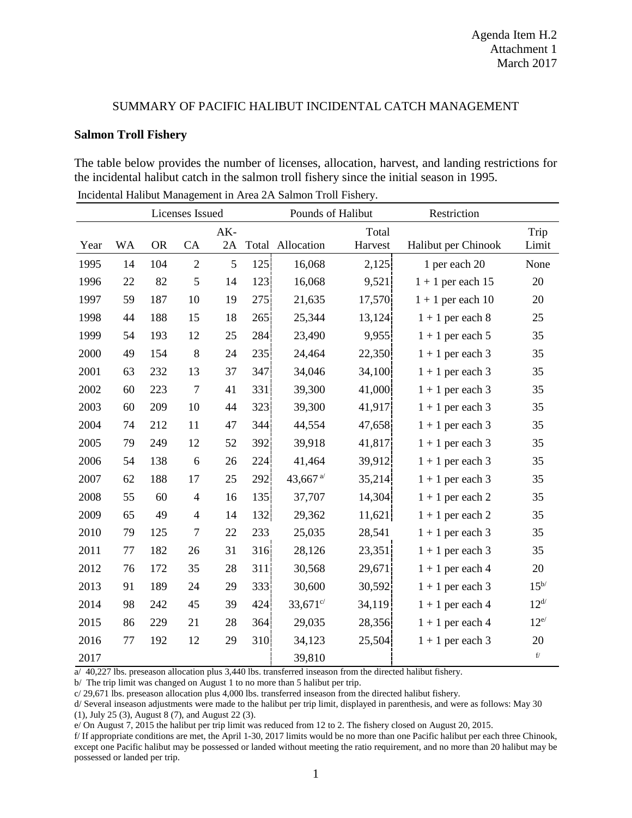## SUMMARY OF PACIFIC HALIBUT INCIDENTAL CATCH MANAGEMENT

## **Salmon Troll Fishery**

The table below provides the number of licenses, allocation, harvest, and landing restrictions for the incidental halibut catch in the salmon troll fishery since the initial season in 1995.

|      |           | Licenses Issued |                |             |      | Pounds of Halibut                         |                  | Restriction         |                           |
|------|-----------|-----------------|----------------|-------------|------|-------------------------------------------|------------------|---------------------|---------------------------|
| Year | <b>WA</b> | <b>OR</b>       | CA             | $AK-$<br>2A |      | Total Allocation                          | Total<br>Harvest | Halibut per Chinook | Trip<br>Limit             |
| 1995 | 14        | 104             | $\overline{2}$ | 5           | 125  | 16,068                                    | 2,125            | 1 per each 20       | None                      |
| 1996 | 22        | 82              | 5              | 14          | 123  | 16,068                                    | 9,521            | $1 + 1$ per each 15 | 20                        |
| 1997 | 59        | 187             | 10             | 19          | 275  | 21,635                                    | 17,570           | $1 + 1$ per each 10 | 20                        |
| 1998 | 44        | 188             | 15             | 18          | 265  | 25,344                                    | 13,124           | $1 + 1$ per each 8  | 25                        |
| 1999 | 54        | 193             | 12             | 25          | 284  | 23,490                                    | 9,955            | $1 + 1$ per each 5  | 35                        |
| 2000 | 49        | 154             | 8              | 24          | 235  | 24,464                                    | 22,350           | $1 + 1$ per each 3  | 35                        |
| 2001 | 63        | 232             | 13             | 37          | 347  | 34,046                                    | 34,100           | $1 + 1$ per each 3  | 35                        |
| 2002 | 60        | 223             | $\overline{7}$ | 41          | 331  | 39,300                                    | 41,000           | $1 + 1$ per each 3  | 35                        |
| 2003 | 60        | 209             | 10             | 44          | 323  | 39,300                                    | 41,917           | $1 + 1$ per each 3  | 35                        |
| 2004 | 74        | 212             | 11             | 47          | 344! | 44,554                                    | 47,658           | $1 + 1$ per each 3  | 35                        |
| 2005 | 79        | 249             | 12             | 52          | 392  | 39,918                                    | 41,817           | $1 + 1$ per each 3  | 35                        |
| 2006 | 54        | 138             | 6              | 26          | 224  | 41,464                                    | 39,912           | $1 + 1$ per each 3  | 35                        |
| 2007 | 62        | 188             | 17             | 25          | 292  | 43,667 $a$ <sup><math>\prime</math></sup> | 35,214           | $1 + 1$ per each 3  | 35                        |
| 2008 | 55        | 60              | $\overline{4}$ | 16          | 135  | 37,707                                    | 14,304           | $1 + 1$ per each 2  | 35                        |
| 2009 | 65        | 49              | $\overline{4}$ | 14          | 132  | 29,362                                    | 11,621           | $1 + 1$ per each 2  | 35                        |
| 2010 | 79        | 125             | $\overline{7}$ | 22          | 233  | 25,035                                    | 28,541           | $1 + 1$ per each 3  | 35                        |
| 2011 | 77        | 182             | 26             | 31          | 316  | 28,126                                    | 23,351           | $1 + 1$ per each 3  | 35                        |
| 2012 | 76        | 172             | 35             | 28          | 311  | 30,568                                    | 29,671           | $1 + 1$ per each 4  | 20                        |
| 2013 | 91        | 189             | 24             | 29          | 333  | 30,600                                    | 30,592           | $1 + 1$ per each 3  | $15^{b/}$                 |
| 2014 | 98        | 242             | 45             | 39          | 424  | $33,671^{\circ/}$                         | 34,119           | $1 + 1$ per each 4  | $12^{d/2}$                |
| 2015 | 86        | 229             | 21             | 28          | 364  | 29,035                                    | 28,356           | $1 + 1$ per each 4  | $12^{e/}$                 |
| 2016 | 77        | 192             | 12             | 29          | 310  | 34,123                                    | 25,504           | $1 + 1$ per each 3  | 20                        |
| 2017 |           |                 |                |             |      | 39,810                                    |                  |                     | $\mathbf{f}/% \mathbf{g}$ |

Incidental Halibut Management in Area 2A Salmon Troll Fishery.

a/ 40,227 lbs. preseason allocation plus 3,440 lbs. transferred inseason from the directed halibut fishery.

b/ The trip limit was changed on August 1 to no more than 5 halibut per trip.

c/ 29,671 lbs. preseason allocation plus 4,000 lbs. transferred inseason from the directed halibut fishery.

d/ Several inseason adjustments were made to the halibut per trip limit, displayed in parenthesis, and were as follows: May 30 (1), July 25 (3), August 8 (7), and August 22 (3).

e/ On August 7, 2015 the halibut per trip limit was reduced from 12 to 2. The fishery closed on August 20, 2015.

f/ If appropriate conditions are met, the April 1-30, 2017 limits would be no more than one Pacific halibut per each three Chinook, except one Pacific halibut may be possessed or landed without meeting the ratio requirement, and no more than 20 halibut may be possessed or landed per trip.